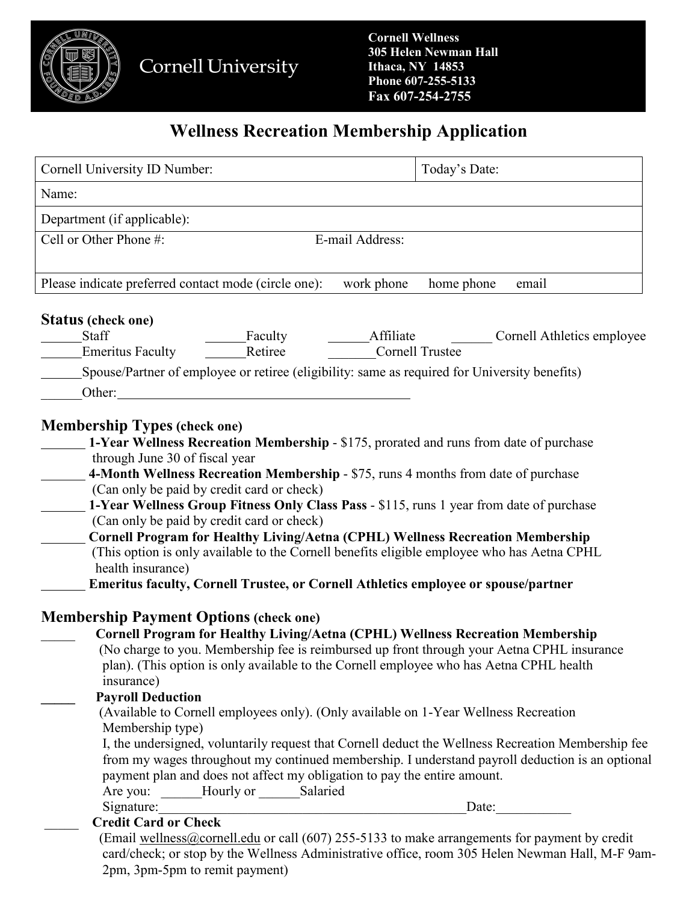

# **Wellness Recreation Membership Application**

| Cornell University ID Number:                                                                 | Today's Date:                                                                                      |
|-----------------------------------------------------------------------------------------------|----------------------------------------------------------------------------------------------------|
| Name:                                                                                         |                                                                                                    |
| Department (if applicable):                                                                   |                                                                                                    |
| Cell or Other Phone #:                                                                        | E-mail Address:                                                                                    |
|                                                                                               |                                                                                                    |
| Please indicate preferred contact mode (circle one):                                          | work phone<br>home phone<br>email                                                                  |
| Status (check one)                                                                            |                                                                                                    |
| Staff<br>Faculty                                                                              | Affiliate<br>Cornell Athletics employee                                                            |
| <b>Emeritus Faculty</b><br>Retiree                                                            | <b>Cornell Trustee</b>                                                                             |
|                                                                                               |                                                                                                    |
| Spouse/Partner of employee or retiree (eligibility: same as required for University benefits) |                                                                                                    |
| Other:                                                                                        |                                                                                                    |
|                                                                                               |                                                                                                    |
| <b>Membership Types (check one)</b>                                                           |                                                                                                    |
|                                                                                               | 1-Year Wellness Recreation Membership - \$175, prorated and runs from date of purchase             |
| through June 30 of fiscal year                                                                |                                                                                                    |
| 4-Month Wellness Recreation Membership - \$75, runs 4 months from date of purchase            |                                                                                                    |
| (Can only be paid by credit card or check)                                                    |                                                                                                    |
|                                                                                               | 1-Year Wellness Group Fitness Only Class Pass - \$115, runs 1 year from date of purchase           |
| (Can only be paid by credit card or check)                                                    |                                                                                                    |
|                                                                                               | <b>Cornell Program for Healthy Living/Aetna (CPHL) Wellness Recreation Membership</b>              |
|                                                                                               | (This option is only available to the Cornell benefits eligible employee who has Aetna CPHL        |
| health insurance)                                                                             |                                                                                                    |
| Emeritus faculty, Cornell Trustee, or Cornell Athletics employee or spouse/partner            |                                                                                                    |
|                                                                                               |                                                                                                    |
| <b>Membership Payment Options (check one)</b>                                                 |                                                                                                    |
|                                                                                               | <b>Cornell Program for Healthy Living/Aetna (CPHL) Wellness Recreation Membership</b>              |
|                                                                                               | (No charge to you. Membership fee is reimbursed up front through your Aetna CPHL insurance         |
|                                                                                               |                                                                                                    |
|                                                                                               | plan). (This option is only available to the Cornell employee who has Aetna CPHL health            |
| insurance)                                                                                    |                                                                                                    |
| <b>Payroll Deduction</b>                                                                      |                                                                                                    |
|                                                                                               | (Available to Cornell employees only). (Only available on 1-Year Wellness Recreation               |
| Membership type)                                                                              |                                                                                                    |
|                                                                                               | I, the undersigned, voluntarily request that Cornell deduct the Wellness Recreation Membership fee |
|                                                                                               | from my wages throughout my continued membership. I understand payroll deduction is an optional    |
| payment plan and does not affect my obligation to pay the entire amount.                      |                                                                                                    |
| Are you: Hourly or Salaried                                                                   |                                                                                                    |
| Signature:                                                                                    | Date:                                                                                              |
| <b>Credit Card or Check</b>                                                                   |                                                                                                    |
|                                                                                               | (Email wellness@cornell.edu or call (607) 255-5133 to make arrangements for payment by credit      |
|                                                                                               | card/check; or stop by the Wellness Administrative office, room 305 Helen Newman Hall, M-F 9am-    |
| 2pm, 3pm-5pm to remit payment)                                                                |                                                                                                    |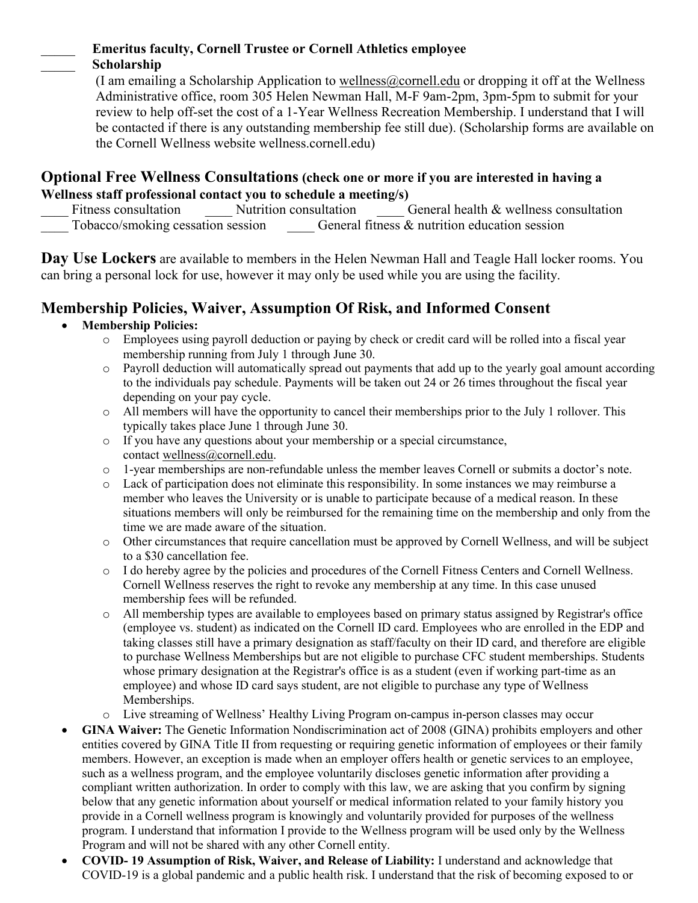#### \_\_\_\_\_ **Emeritus faculty, Cornell Trustee or Cornell Athletics employee** \_\_\_\_\_ **Scholarship**

(I am emailing a Scholarship Application to wellness  $@comell.edu$  or dropping it off at the Wellness Administrative office, room 305 Helen Newman Hall, M-F 9am-2pm, 3pm-5pm to submit for your review to help off-set the cost of a 1-Year Wellness Recreation Membership. I understand that I will be contacted if there is any outstanding membership fee still due). (Scholarship forms are available on the Cornell Wellness website wellness.cornell.edu)

# **Optional Free Wellness Consultations (check one or more if you are interested in having a Wellness staff professional contact you to schedule a meeting/s)**

General health  $&$  wellness consultation Tobacco/smoking cessation session General fitness & nutrition education session

**Day Use Lockers** are available to members in the Helen Newman Hall and Teagle Hall locker rooms. You can bring a personal lock for use, however it may only be used while you are using the facility.

## **Membership Policies, Waiver, Assumption Of Risk, and Informed Consent**

### • **Membership Policies:**

- o Employees using payroll deduction or paying by check or credit card will be rolled into a fiscal year membership running from July 1 through June 30.
- o Payroll deduction will automatically spread out payments that add up to the yearly goal amount according to the individuals pay schedule. Payments will be taken out 24 or 26 times throughout the fiscal year depending on your pay cycle.
- $\circ$  All members will have the opportunity to cancel their memberships prior to the July 1 rollover. This typically takes place June 1 through June 30.
- o If you have any questions about your membership or a special circumstance, contact [wellness@cornell.edu.](mailto:wellness@cornell.edu)
- o 1-year memberships are non-refundable unless the member leaves Cornell or submits a doctor's note.
- o Lack of participation does not eliminate this responsibility. In some instances we may reimburse a member who leaves the University or is unable to participate because of a medical reason. In these situations members will only be reimbursed for the remaining time on the membership and only from the time we are made aware of the situation.
- o Other circumstances that require cancellation must be approved by Cornell Wellness, and will be subject to a \$30 cancellation fee.
- o I do hereby agree by the policies and procedures of the Cornell Fitness Centers and Cornell Wellness. Cornell Wellness reserves the right to revoke any membership at any time. In this case unused membership fees will be refunded.
- o All membership types are available to employees based on primary status assigned by Registrar's office (employee vs. student) as indicated on the Cornell ID card. Employees who are enrolled in the EDP and taking classes still have a primary designation as staff/faculty on their ID card, and therefore are eligible to purchase Wellness Memberships but are not eligible to purchase CFC student memberships. Students whose primary designation at the Registrar's office is as a student (even if working part-time as an employee) and whose ID card says student, are not eligible to purchase any type of Wellness Memberships.
- o Live streaming of Wellness' Healthy Living Program on-campus in-person classes may occur
- **GINA Waiver:** The Genetic Information Nondiscrimination act of 2008 (GINA) prohibits employers and other entities covered by GINA Title II from requesting or requiring genetic information of employees or their family members. However, an exception is made when an employer offers health or genetic services to an employee, such as a wellness program, and the employee voluntarily discloses genetic information after providing a compliant written authorization. In order to comply with this law, we are asking that you confirm by signing below that any genetic information about yourself or medical information related to your family history you provide in a Cornell wellness program is knowingly and voluntarily provided for purposes of the wellness program. I understand that information I provide to the Wellness program will be used only by the Wellness Program and will not be shared with any other Cornell entity.
- **COVID- 19 Assumption of Risk, Waiver, and Release of Liability:** I understand and acknowledge that COVID-19 is a global pandemic and a public health risk. I understand that the risk of becoming exposed to or